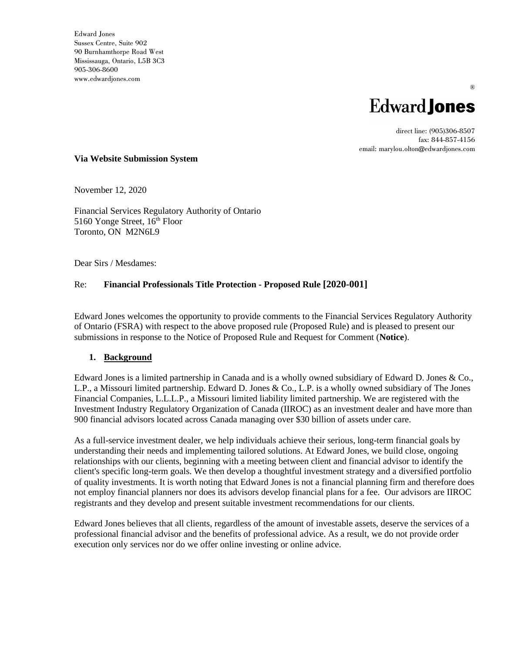Edward Jones Sussex Centre, Suite 902 90 Burnhamthorpe Road West Mississauga, Ontario, L5B 3C3 905-306-8600 www.edwardjones.com



®

direct line: (905)306-8507 fax: 844-857-4156 email: marylou.olton@edwardjones.com

#### **Via Website Submission System**

November 12, 2020

Financial Services Regulatory Authority of Ontario 5160 Yonge Street, 16<sup>th</sup> Floor Toronto, ON M2N6L9

Dear Sirs / Mesdames:

### Re: **Financial Professionals Title Protection - Proposed Rule [2020-001]**

Edward Jones welcomes the opportunity to provide comments to the Financial Services Regulatory Authority of Ontario (FSRA) with respect to the above proposed rule (Proposed Rule) and is pleased to present our submissions in response to the Notice of Proposed Rule and Request for Comment (**Notice**).

### **1. Background**

Edward Jones is a limited partnership in Canada and is a wholly owned subsidiary of Edward D. Jones & Co., L.P., a Missouri limited partnership. Edward D. Jones & Co., L.P. is a wholly owned subsidiary of The Jones Financial Companies, L.L.L.P., a Missouri limited liability limited partnership. We are registered with the Investment Industry Regulatory Organization of Canada (IIROC) as an investment dealer and have more than 900 financial advisors located across Canada managing over \$30 billion of assets under care.

As a full-service investment dealer, we help individuals achieve their serious, long-term financial goals by understanding their needs and implementing tailored solutions. At Edward Jones, we build close, ongoing relationships with our clients, beginning with a meeting between client and financial advisor to identify the client's specific long-term goals. We then develop a thoughtful investment strategy and a diversified portfolio of quality investments. It is worth noting that Edward Jones is not a financial planning firm and therefore does not employ financial planners nor does its advisors develop financial plans for a fee. Our advisors are IIROC registrants and they develop and present suitable investment recommendations for our clients.

Edward Jones believes that all clients, regardless of the amount of investable assets, deserve the services of a professional financial advisor and the benefits of professional advice. As a result, we do not provide order execution only services nor do we offer online investing or online advice.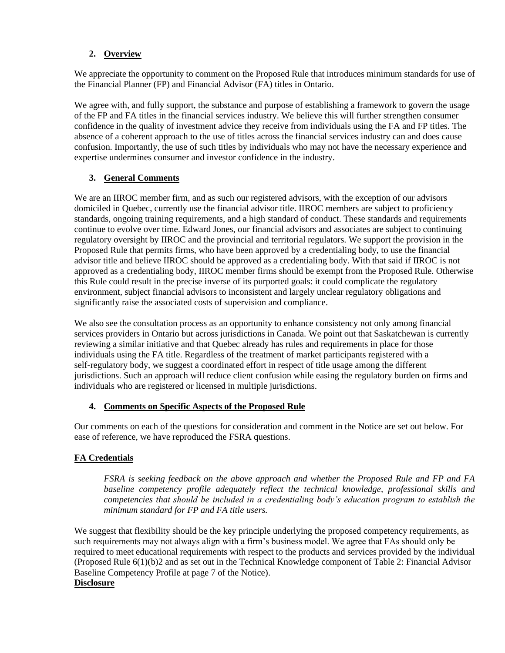## **2. Overview**

We appreciate the opportunity to comment on the Proposed Rule that introduces minimum standards for use of the Financial Planner (FP) and Financial Advisor (FA) titles in Ontario.

We agree with, and fully support, the substance and purpose of establishing a framework to govern the usage of the FP and FA titles in the financial services industry. We believe this will further strengthen consumer confidence in the quality of investment advice they receive from individuals using the FA and FP titles. The absence of a coherent approach to the use of titles across the financial services industry can and does cause confusion. Importantly, the use of such titles by individuals who may not have the necessary experience and expertise undermines consumer and investor confidence in the industry.

## **3. General Comments**

We are an IIROC member firm, and as such our registered advisors, with the exception of our advisors domiciled in Quebec, currently use the financial advisor title. IIROC members are subject to proficiency standards, ongoing training requirements, and a high standard of conduct. These standards and requirements continue to evolve over time. Edward Jones, our financial advisors and associates are subject to continuing regulatory oversight by IIROC and the provincial and territorial regulators. We support the provision in the Proposed Rule that permits firms, who have been approved by a credentialing body, to use the financial advisor title and believe IIROC should be approved as a credentialing body. With that said if IIROC is not approved as a credentialing body, IIROC member firms should be exempt from the Proposed Rule. Otherwise this Rule could result in the precise inverse of its purported goals: it could complicate the regulatory environment, subject financial advisors to inconsistent and largely unclear regulatory obligations and significantly raise the associated costs of supervision and compliance.

We also see the consultation process as an opportunity to enhance consistency not only among financial services providers in Ontario but across jurisdictions in Canada. We point out that Saskatchewan is currently reviewing a similar initiative and that Quebec already has rules and requirements in place for those individuals using the FA title. Regardless of the treatment of market participants registered with a self-regulatory body, we suggest a coordinated effort in respect of title usage among the different jurisdictions. Such an approach will reduce client confusion while easing the regulatory burden on firms and individuals who are registered or licensed in multiple jurisdictions.

# **4. Comments on Specific Aspects of the Proposed Rule**

Our comments on each of the questions for consideration and comment in the Notice are set out below. For ease of reference, we have reproduced the FSRA questions.

# **FA Credentials**

*FSRA is seeking feedback on the above approach and whether the Proposed Rule and FP and FA baseline competency profile adequately reflect the technical knowledge, professional skills and competencies that should be included in a credentialing body's education program to establish the minimum standard for FP and FA title users.* 

We suggest that flexibility should be the key principle underlying the proposed competency requirements, as such requirements may not always align with a firm's business model. We agree that FAs should only be required to meet educational requirements with respect to the products and services provided by the individual (Proposed Rule 6(1)(b)2 and as set out in the Technical Knowledge component of Table 2: Financial Advisor Baseline Competency Profile at page 7 of the Notice). **Disclosure**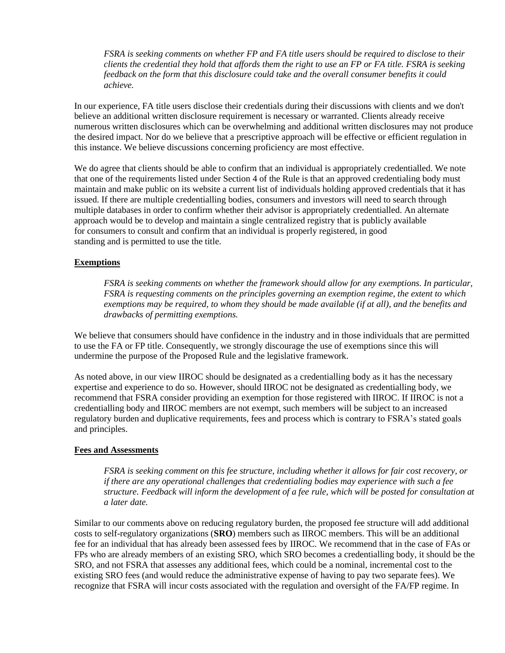*FSRA is seeking comments on whether FP and FA title users should be required to disclose to their clients the credential they hold that affords them the right to use an FP or FA title. FSRA is seeking feedback on the form that this disclosure could take and the overall consumer benefits it could achieve.* 

In our experience, FA title users disclose their credentials during their discussions with clients and we don't believe an additional written disclosure requirement is necessary or warranted. Clients already receive numerous written disclosures which can be overwhelming and additional written disclosures may not produce the desired impact. Nor do we believe that a prescriptive approach will be effective or efficient regulation in this instance. We believe discussions concerning proficiency are most effective.

We do agree that clients should be able to confirm that an individual is appropriately credentialled. We note that one of the requirements listed under Section 4 of the Rule is that an approved credentialing body must maintain and make public on its website a current list of individuals holding approved credentials that it has issued. If there are multiple credentialling bodies, consumers and investors will need to search through multiple databases in order to confirm whether their advisor is appropriately credentialled. An alternate approach would be to develop and maintain a single centralized registry that is publicly available for consumers to consult and confirm that an individual is properly registered, in good standing and is permitted to use the title.

### **Exemptions**

*FSRA is seeking comments on whether the framework should allow for any exemptions. In particular, FSRA is requesting comments on the principles governing an exemption regime, the extent to which exemptions may be required, to whom they should be made available (if at all), and the benefits and drawbacks of permitting exemptions.*

We believe that consumers should have confidence in the industry and in those individuals that are permitted to use the FA or FP title. Consequently, we strongly discourage the use of exemptions since this will undermine the purpose of the Proposed Rule and the legislative framework.

As noted above, in our view IIROC should be designated as a credentialling body as it has the necessary expertise and experience to do so. However, should IIROC not be designated as credentialling body, we recommend that FSRA consider providing an exemption for those registered with IIROC. If IIROC is not a credentialling body and IIROC members are not exempt, such members will be subject to an increased regulatory burden and duplicative requirements, fees and process which is contrary to FSRA's stated goals and principles.

#### **Fees and Assessments**

*FSRA is seeking comment on this fee structure, including whether it allows for fair cost recovery, or if there are any operational challenges that credentialing bodies may experience with such a fee structure. Feedback will inform the development of a fee rule, which will be posted for consultation at a later date.*

Similar to our comments above on reducing regulatory burden, the proposed fee structure will add additional costs to self-regulatory organizations (**SRO**) members such as IIROC members. This will be an additional fee for an individual that has already been assessed fees by IIROC. We recommend that in the case of FAs or FPs who are already members of an existing SRO, which SRO becomes a credentialling body, it should be the SRO, and not FSRA that assesses any additional fees, which could be a nominal, incremental cost to the existing SRO fees (and would reduce the administrative expense of having to pay two separate fees). We recognize that FSRA will incur costs associated with the regulation and oversight of the FA/FP regime. In